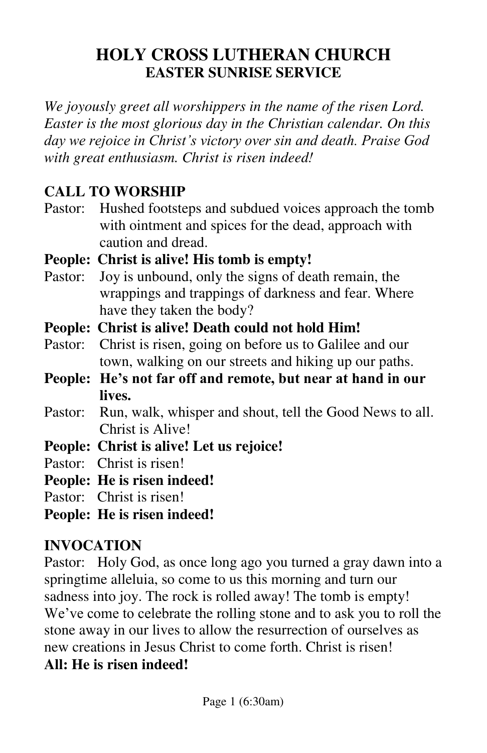# **HOLY CROSS LUTHERAN CHURCH EASTER SUNRISE SERVICE**

*We joyously greet all worshippers in the name of the risen Lord. Easter is the most glorious day in the Christian calendar. On this day we rejoice in Christ's victory over sin and death. Praise God with great enthusiasm. Christ is risen indeed!* 

#### **CALL TO WORSHIP**

Pastor: Hushed footsteps and subdued voices approach the tomb with ointment and spices for the dead, approach with caution and dread.

#### **People: Christ is alive! His tomb is empty!**

- Pastor: Joy is unbound, only the signs of death remain, the wrappings and trappings of darkness and fear. Where have they taken the body?
- **People: Christ is alive! Death could not hold Him!**
- Pastor: Christ is risen, going on before us to Galilee and our town, walking on our streets and hiking up our paths.
- **People: He's not far off and remote, but near at hand in our lives.**
- Pastor: Run, walk, whisper and shout, tell the Good News to all. Christ is Alive!
- **People: Christ is alive! Let us rejoice!**

Pastor: Christ is risen!

**People: He is risen indeed!** 

Pastor: Christ is risen!

**People: He is risen indeed!** 

#### **INVOCATION**

Pastor: Holy God, as once long ago you turned a gray dawn into a springtime alleluia, so come to us this morning and turn our sadness into joy. The rock is rolled away! The tomb is empty! We've come to celebrate the rolling stone and to ask you to roll the stone away in our lives to allow the resurrection of ourselves as new creations in Jesus Christ to come forth. Christ is risen! **All: He is risen indeed!**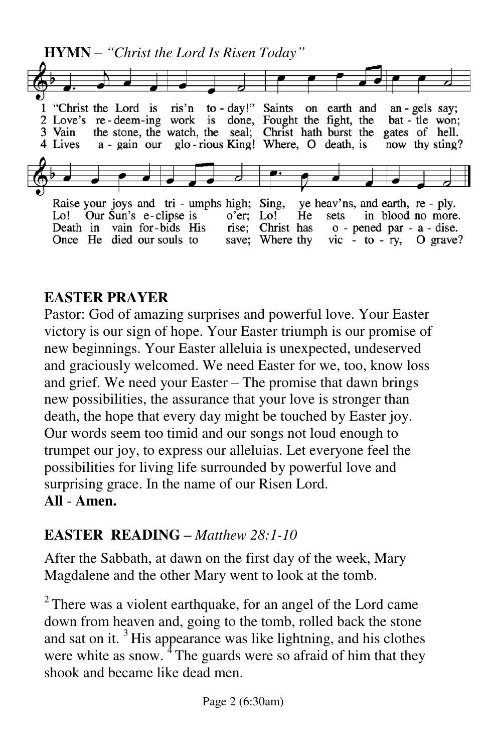**HYMN** – *"Christ the Lord Is Risen Today"* 1 "Christ the Lord is ris'n to - day!" Saints on earth and an - gels say; 2 Love's re-deem-ing work is done, Fought the fight, the bat - tle won; the stone, the watch, the seal; Christ hath burst the gates of hell. 3 Vain glo-rious King! Where, O death, is 4 Lives now thy sting? a - gain our Raise your joys and tri - umphs high; Sing, ye heav'ns, and earth, re - ply.  $o'$ er; Lo! Lo! Our Sun's e-clipse is He sets in blood no more. Death in vain for-bids His rise; Christ has  $\circ$  - pened par - a - dise. Once He died our souls to save; Where thy vic  $-$  to  $-$  ry, O grave?

## **EASTER PRAYER**

Pastor: God of amazing surprises and powerful love. Your Easter victory is our sign of hope. Your Easter triumph is our promise of new beginnings. Your Easter alleluia is unexpected, undeserved and graciously welcomed. We need Easter for we, too, know loss and grief. We need your Easter – The promise that dawn brings new possibilities, the assurance that your love is stronger than death, the hope that every day might be touched by Easter joy. Our words seem too timid and our songs not loud enough to trumpet our joy, to express our alleluias. Let everyone feel the possibilities for living life surrounded by powerful love and surprising grace. In the name of our Risen Lord. **All** - **Amen.** 

# **EASTER READING –** *Matthew 28:1-10*

After the Sabbath, at dawn on the first day of the week, Mary Magdalene and the other Mary went to look at the tomb.

 $2^2$  There was a violent earthquake, for an angel of the Lord came down from heaven and, going to the tomb, rolled back the stone and sat on it.  $3$  His appearance was like lightning, and his clothes were white as snow. <sup>4</sup> The guards were so afraid of him that they shook and became like dead men.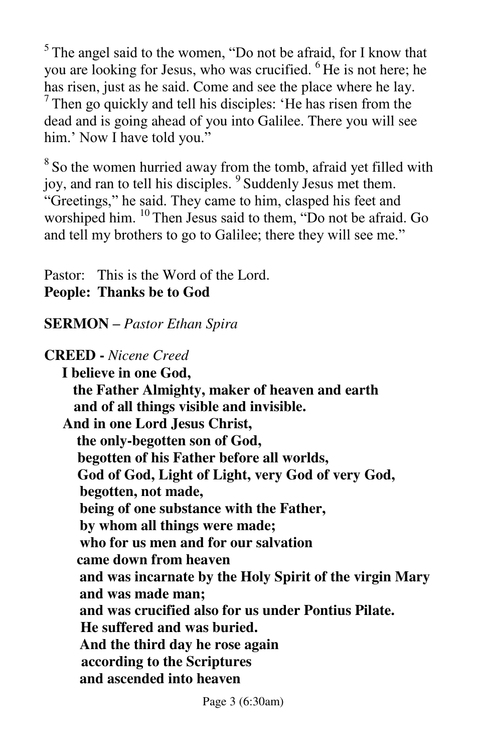$5$ The angel said to the women, "Do not be afraid, for I know that you are looking for Jesus, who was crucified. <sup>6</sup>He is not here; he has risen, just as he said. Come and see the place where he lay.  $<sup>7</sup>$  Then go quickly and tell his disciples: 'He has risen from the</sup> dead and is going ahead of you into Galilee. There you will see him.' Now I have told you."

<sup>8</sup> So the women hurried away from the tomb, afraid yet filled with joy, and ran to tell his disciples. <sup>9</sup> Suddenly Jesus met them. "Greetings," he said. They came to him, clasped his feet and worshiped him. <sup>10</sup> Then Jesus said to them, "Do not be afraid. Go and tell my brothers to go to Galilee; there they will see me."

Pastor: This is the Word of the Lord. **People: Thanks be to God** 

**SERMON –** *Pastor Ethan Spira* 

**CREED -** *Nicene Creed* 

**I believe in one God, the Father Almighty, maker of heaven and earth and of all things visible and invisible. And in one Lord Jesus Christ, the only-begotten son of God, begotten of his Father before all worlds, God of God, Light of Light, very God of very God, begotten, not made, being of one substance with the Father, by whom all things were made; who for us men and for our salvation came down from heaven and was incarnate by the Holy Spirit of the virgin Mary and was made man; and was crucified also for us under Pontius Pilate. He suffered and was buried. And the third day he rose again according to the Scriptures and ascended into heaven** 

Page 3 (6:30am)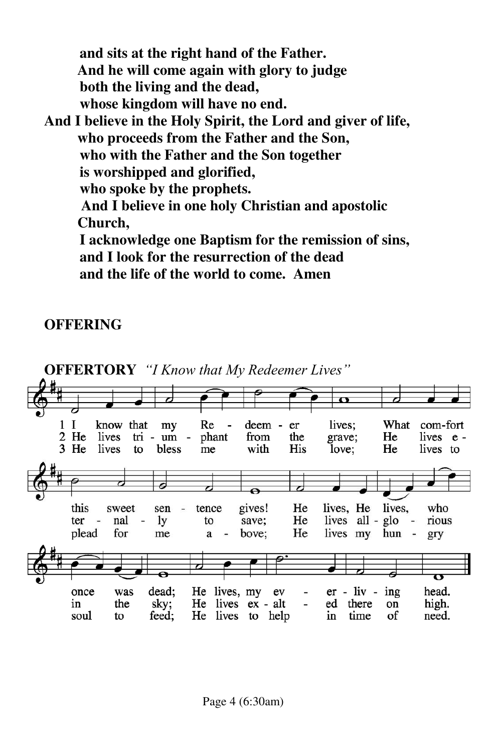**and sits at the right hand of the Father. And he will come again with glory to judge both the living and the dead, whose kingdom will have no end. And I believe in the Holy Spirit, the Lord and giver of life, who proceeds from the Father and the Son, who with the Father and the Son together is worshipped and glorified, who spoke by the prophets. And I believe in one holy Christian and apostolic Church, I acknowledge one Baptism for the remission of sins, and I look for the resurrection of the dead and the life of the world to come. Amen** 

#### **OFFERING**

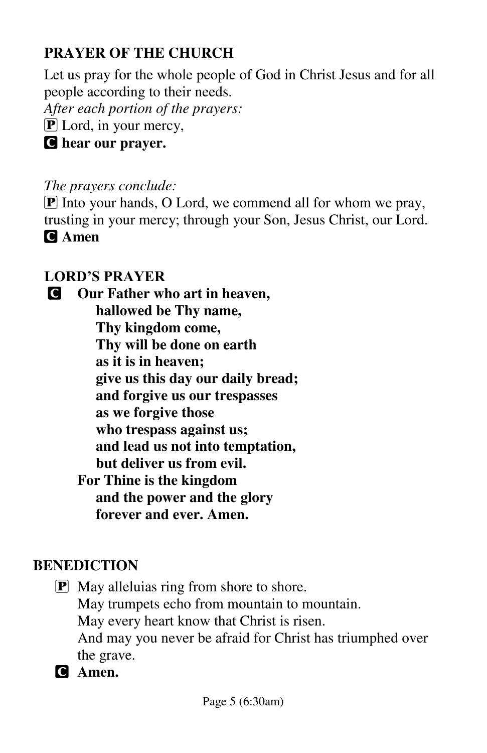# **PRAYER OF THE CHURCH**

Let us pray for the whole people of God in Christ Jesus and for all people according to their needs.

*After each portion of the prayers:* 

 $\bf{P}$  Lord, in your mercy,

C **hear our prayer.** 

*The prayers conclude:* 

 $\boxed{\mathbf{P}}$  Into your hands, O Lord, we commend all for whom we pray, trusting in your mercy; through your Son, Jesus Christ, our Lord. C **Amen**

## **LORD'S PRAYER**

C **Our Father who art in heaven, hallowed be Thy name, Thy kingdom come, Thy will be done on earth as it is in heaven; give us this day our daily bread; and forgive us our trespasses as we forgive those who trespass against us; and lead us not into temptation, but deliver us from evil. For Thine is the kingdom and the power and the glory forever and ever. Amen.** 

#### **BENEDICTION**

- P May alleluias ring from shore to shore. May trumpets echo from mountain to mountain. May every heart know that Christ is risen. And may you never be afraid for Christ has triumphed over the grave.
- C **Amen.**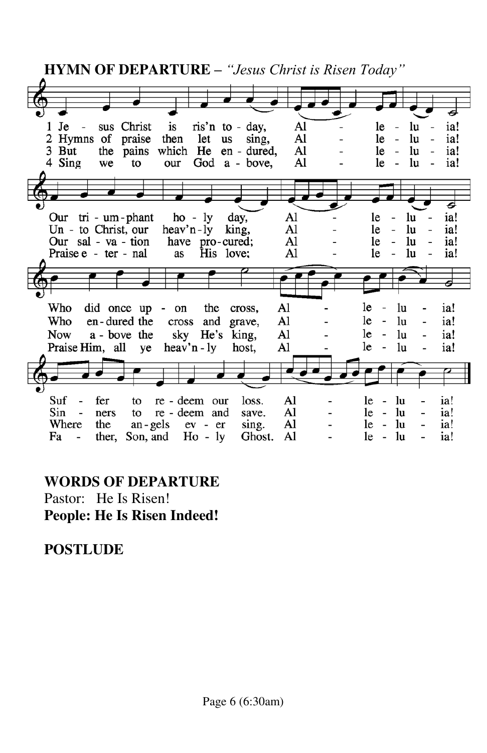**HYMN OF DEPARTURE** *– "Jesus Christ is Risen Today"*  $1$  Je sus Christ is ris'n to - day, Al  $\overline{\phantom{a}}$ le  $\overline{\phantom{a}}$ lu  $\overline{\phantom{0}}$ ia! 2 Hymns of praise then let us Al le  $\sim$ lu ia! sing, Al  $\mathbb{Z}^2$ 3 But the pains which He en - dured, le lu ia! 4 Sing we to our God a - bove, Al le  $\overline{\phantom{a}}$ lu ia! ਡ Our tri - um - phant  $ho - ly$ day, Al le lu ia! Un - to Christ, our  $heav'n - ly$ king. Al le lu ia!  $\overline{a}$ Our sal - va - tion Al have pro-cured; le  $\frac{1}{2}$ lu ia! Praise e - ter - nal as His love: A1 1e  $\overline{a}$ lu ia! Who did once up - on the  $AI$ le lu ia! cross,  $\overline{a}$  $\overline{a}$ Who en-dured the cross and grave, Al le  $\overline{\phantom{a}}$ lu ia! **Now** a - bove the sky He's king, Al le  $\overline{\phantom{a}}$ lu ia! Praise Him, all ye heav'n - ly host, Al le  $\overline{a}$ lu ia! Suf  $\overline{a}$ fer to re - deem our loss. Al  $le$ lu ia!  $le -$ Sin ners to re - deem and save. Al 1u ia! Where the an - gels ev - er sing.  $A1$  $le \ln$ ia!  $\frac{1}{2}$ Fa ther, Son, and  $Ho - ly$ Ghost. A1  $le -$ 1u ia!  $\overline{\phantom{a}}$ 

#### **WORDS OF DEPARTURE**

Pastor: He Is Risen! **People: He Is Risen Indeed!** 

#### **POSTLUDE**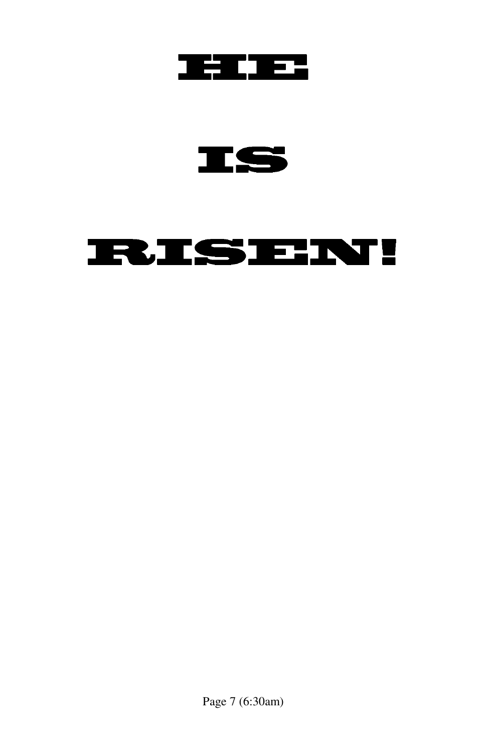

IS

# **RISEN!**